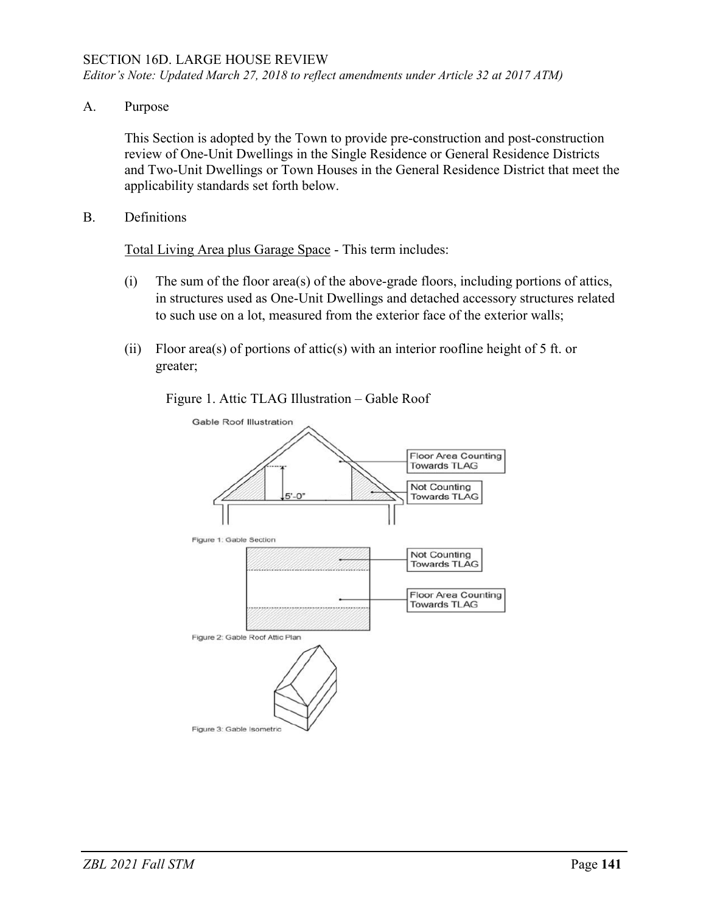*Editor's Note: Updated March 27, 2018 to reflect amendments under Article 32 at 2017 ATM)*

A. Purpose

This Section is adopted by the Town to provide pre-construction and post-construction review of One-Unit Dwellings in the Single Residence or General Residence Districts and Two-Unit Dwellings or Town Houses in the General Residence District that meet the applicability standards set forth below.

B. Definitions

Total Living Area plus Garage Space - This term includes:

- (i) The sum of the floor area(s) of the above-grade floors, including portions of attics, in structures used as One-Unit Dwellings and detached accessory structures related to such use on a lot, measured from the exterior face of the exterior walls;
- (ii) Floor area(s) of portions of attic(s) with an interior roofline height of 5 ft. or greater;

Figure 1. Attic TLAG Illustration – Gable Roof

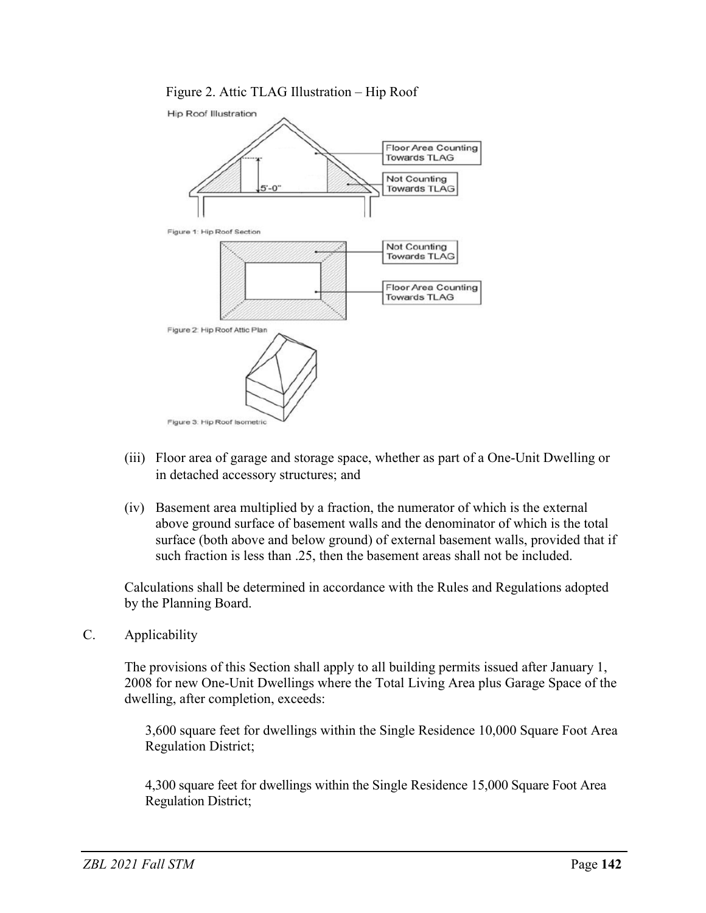## Figure 2. Attic TLAG Illustration – Hip Roof



- (iii) Floor area of garage and storage space, whether as part of a One-Unit Dwelling or in detached accessory structures; and
- (iv) Basement area multiplied by a fraction, the numerator of which is the external above ground surface of basement walls and the denominator of which is the total surface (both above and below ground) of external basement walls, provided that if such fraction is less than .25, then the basement areas shall not be included.

Calculations shall be determined in accordance with the Rules and Regulations adopted by the Planning Board.

C. Applicability

The provisions of this Section shall apply to all building permits issued after January 1, 2008 for new One-Unit Dwellings where the Total Living Area plus Garage Space of the dwelling, after completion, exceeds:

3,600 square feet for dwellings within the Single Residence 10,000 Square Foot Area Regulation District;

4,300 square feet for dwellings within the Single Residence 15,000 Square Foot Area Regulation District;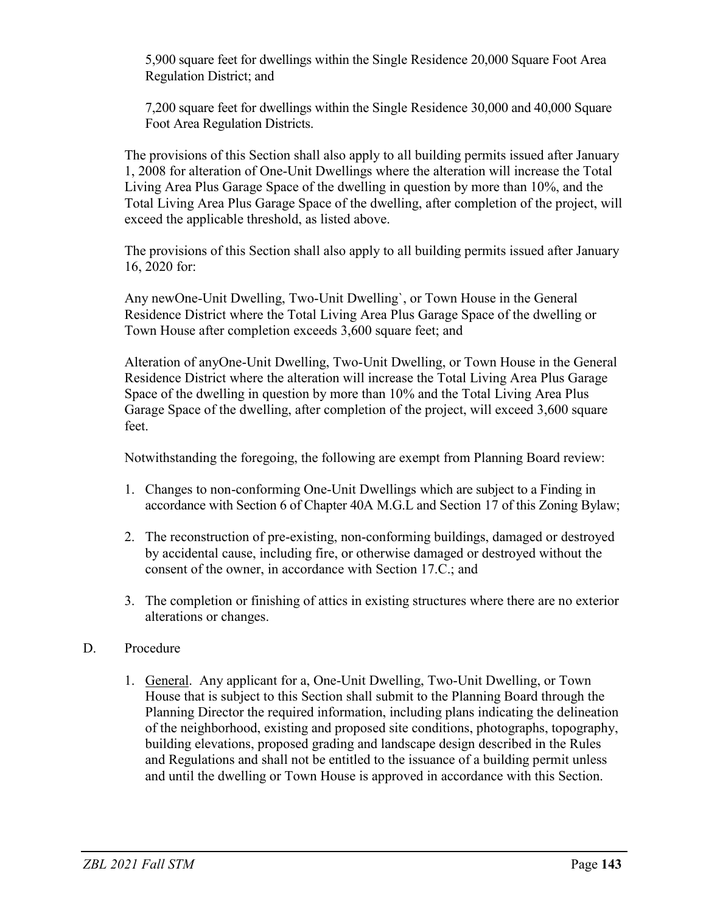5,900 square feet for dwellings within the Single Residence 20,000 Square Foot Area Regulation District; and

7,200 square feet for dwellings within the Single Residence 30,000 and 40,000 Square Foot Area Regulation Districts.

The provisions of this Section shall also apply to all building permits issued after January 1, 2008 for alteration of One-Unit Dwellings where the alteration will increase the Total Living Area Plus Garage Space of the dwelling in question by more than 10%, and the Total Living Area Plus Garage Space of the dwelling, after completion of the project, will exceed the applicable threshold, as listed above.

The provisions of this Section shall also apply to all building permits issued after January 16, 2020 for:

Any newOne-Unit Dwelling, Two-Unit Dwelling`, or Town House in the General Residence District where the Total Living Area Plus Garage Space of the dwelling or Town House after completion exceeds 3,600 square feet; and

Alteration of anyOne-Unit Dwelling, Two-Unit Dwelling, or Town House in the General Residence District where the alteration will increase the Total Living Area Plus Garage Space of the dwelling in question by more than 10% and the Total Living Area Plus Garage Space of the dwelling, after completion of the project, will exceed 3,600 square feet.

Notwithstanding the foregoing, the following are exempt from Planning Board review:

- 1. Changes to non-conforming One-Unit Dwellings which are subject to a Finding in accordance with Section 6 of Chapter 40A M.G.L and Section 17 of this Zoning Bylaw;
- 2. The reconstruction of pre-existing, non-conforming buildings, damaged or destroyed by accidental cause, including fire, or otherwise damaged or destroyed without the consent of the owner, in accordance with Section 17.C.; and
- 3. The completion or finishing of attics in existing structures where there are no exterior alterations or changes.

## D. Procedure

1. General. Any applicant for a, One-Unit Dwelling, Two-Unit Dwelling, or Town House that is subject to this Section shall submit to the Planning Board through the Planning Director the required information, including plans indicating the delineation of the neighborhood, existing and proposed site conditions, photographs, topography, building elevations, proposed grading and landscape design described in the Rules and Regulations and shall not be entitled to the issuance of a building permit unless and until the dwelling or Town House is approved in accordance with this Section.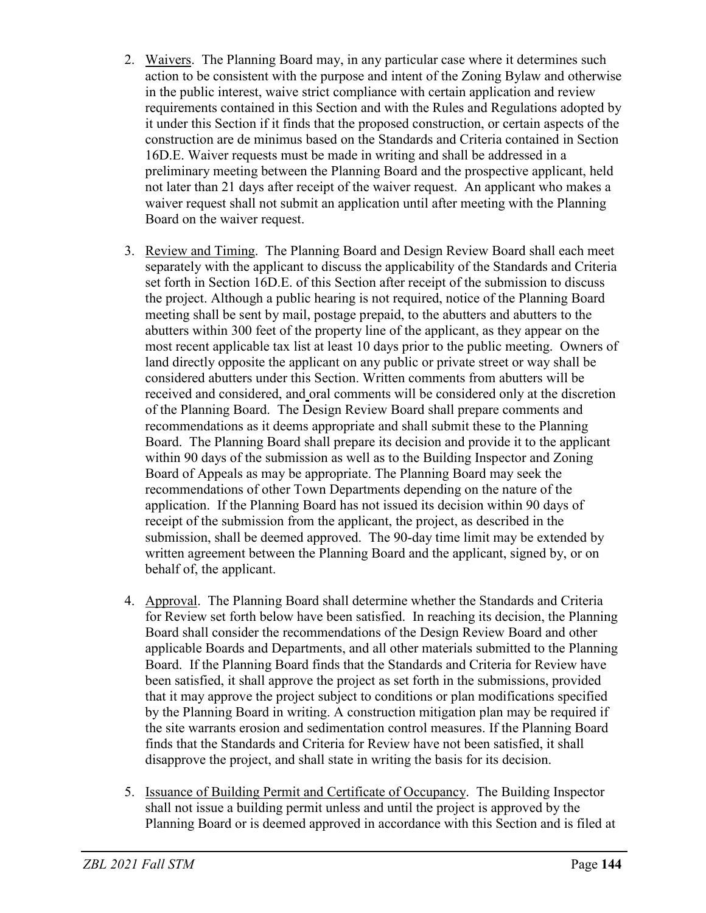- 2. Waivers. The Planning Board may, in any particular case where it determines such action to be consistent with the purpose and intent of the Zoning Bylaw and otherwise in the public interest, waive strict compliance with certain application and review requirements contained in this Section and with the Rules and Regulations adopted by it under this Section if it finds that the proposed construction, or certain aspects of the construction are de minimus based on the Standards and Criteria contained in Section 16D.E. Waiver requests must be made in writing and shall be addressed in a preliminary meeting between the Planning Board and the prospective applicant, held not later than 21 days after receipt of the waiver request. An applicant who makes a waiver request shall not submit an application until after meeting with the Planning Board on the waiver request.
- 3. Review and Timing. The Planning Board and Design Review Board shall each meet separately with the applicant to discuss the applicability of the Standards and Criteria set forth in Section 16D.E. of this Section after receipt of the submission to discuss the project. Although a public hearing is not required, notice of the Planning Board meeting shall be sent by mail, postage prepaid, to the abutters and abutters to the abutters within 300 feet of the property line of the applicant, as they appear on the most recent applicable tax list at least 10 days prior to the public meeting. Owners of land directly opposite the applicant on any public or private street or way shall be considered abutters under this Section. Written comments from abutters will be received and considered, and oral comments will be considered only at the discretion of the Planning Board. The Design Review Board shall prepare comments and recommendations as it deems appropriate and shall submit these to the Planning Board. The Planning Board shall prepare its decision and provide it to the applicant within 90 days of the submission as well as to the Building Inspector and Zoning Board of Appeals as may be appropriate. The Planning Board may seek the recommendations of other Town Departments depending on the nature of the application. If the Planning Board has not issued its decision within 90 days of receipt of the submission from the applicant, the project, as described in the submission, shall be deemed approved. The 90-day time limit may be extended by written agreement between the Planning Board and the applicant, signed by, or on behalf of, the applicant.
- 4. Approval. The Planning Board shall determine whether the Standards and Criteria for Review set forth below have been satisfied. In reaching its decision, the Planning Board shall consider the recommendations of the Design Review Board and other applicable Boards and Departments, and all other materials submitted to the Planning Board. If the Planning Board finds that the Standards and Criteria for Review have been satisfied, it shall approve the project as set forth in the submissions, provided that it may approve the project subject to conditions or plan modifications specified by the Planning Board in writing. A construction mitigation plan may be required if the site warrants erosion and sedimentation control measures. If the Planning Board finds that the Standards and Criteria for Review have not been satisfied, it shall disapprove the project, and shall state in writing the basis for its decision.
- 5. Issuance of Building Permit and Certificate of Occupancy. The Building Inspector shall not issue a building permit unless and until the project is approved by the Planning Board or is deemed approved in accordance with this Section and is filed at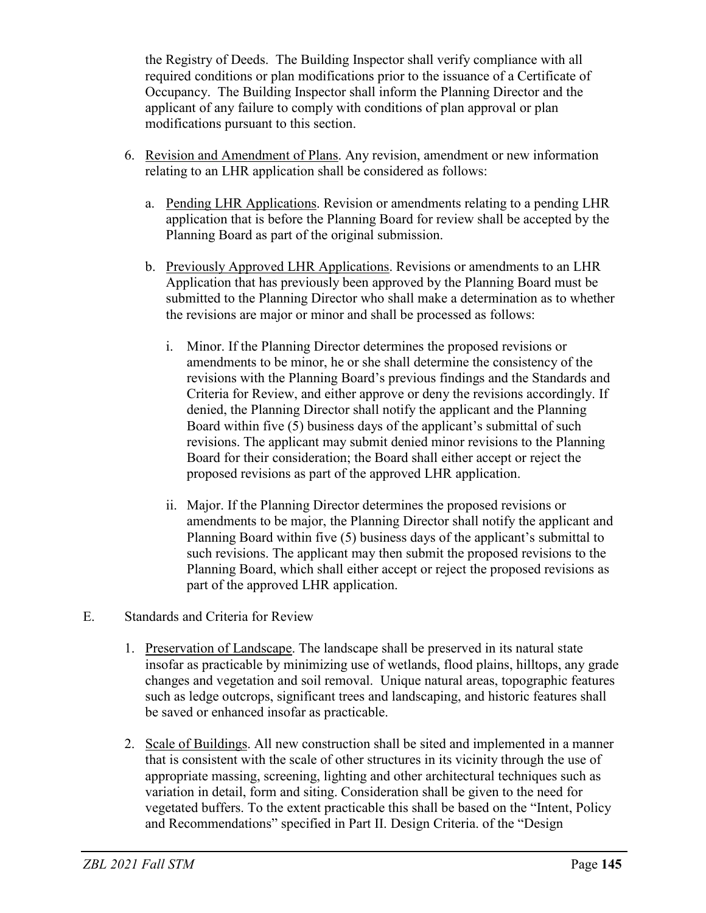the Registry of Deeds. The Building Inspector shall verify compliance with all required conditions or plan modifications prior to the issuance of a Certificate of Occupancy. The Building Inspector shall inform the Planning Director and the applicant of any failure to comply with conditions of plan approval or plan modifications pursuant to this section.

- 6. Revision and Amendment of Plans. Any revision, amendment or new information relating to an LHR application shall be considered as follows:
	- a. Pending LHR Applications. Revision or amendments relating to a pending LHR application that is before the Planning Board for review shall be accepted by the Planning Board as part of the original submission.
	- b. Previously Approved LHR Applications. Revisions or amendments to an LHR Application that has previously been approved by the Planning Board must be submitted to the Planning Director who shall make a determination as to whether the revisions are major or minor and shall be processed as follows:
		- i. Minor. If the Planning Director determines the proposed revisions or amendments to be minor, he or she shall determine the consistency of the revisions with the Planning Board's previous findings and the Standards and Criteria for Review, and either approve or deny the revisions accordingly. If denied, the Planning Director shall notify the applicant and the Planning Board within five (5) business days of the applicant's submittal of such revisions. The applicant may submit denied minor revisions to the Planning Board for their consideration; the Board shall either accept or reject the proposed revisions as part of the approved LHR application.
		- ii. Major. If the Planning Director determines the proposed revisions or amendments to be major, the Planning Director shall notify the applicant and Planning Board within five (5) business days of the applicant's submittal to such revisions. The applicant may then submit the proposed revisions to the Planning Board, which shall either accept or reject the proposed revisions as part of the approved LHR application.
- E. Standards and Criteria for Review
	- 1. Preservation of Landscape. The landscape shall be preserved in its natural state insofar as practicable by minimizing use of wetlands, flood plains, hilltops, any grade changes and vegetation and soil removal. Unique natural areas, topographic features such as ledge outcrops, significant trees and landscaping, and historic features shall be saved or enhanced insofar as practicable.
	- 2. Scale of Buildings. All new construction shall be sited and implemented in a manner that is consistent with the scale of other structures in its vicinity through the use of appropriate massing, screening, lighting and other architectural techniques such as variation in detail, form and siting. Consideration shall be given to the need for vegetated buffers. To the extent practicable this shall be based on the "Intent, Policy and Recommendations" specified in Part II. Design Criteria. of the "Design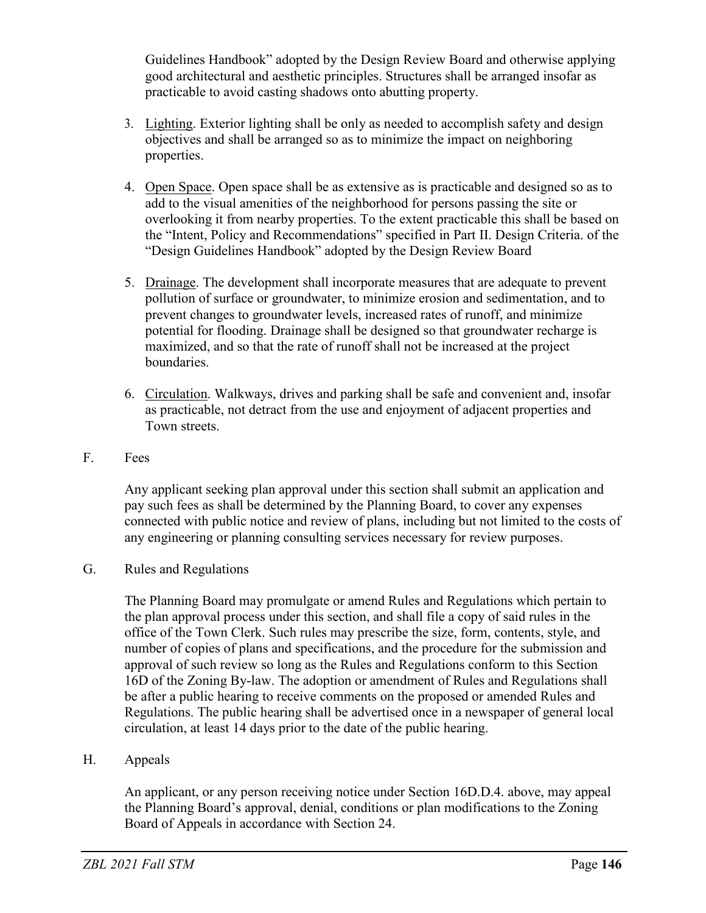Guidelines Handbook" adopted by the Design Review Board and otherwise applying good architectural and aesthetic principles. Structures shall be arranged insofar as practicable to avoid casting shadows onto abutting property.

- 3. Lighting. Exterior lighting shall be only as needed to accomplish safety and design objectives and shall be arranged so as to minimize the impact on neighboring properties.
- 4. Open Space. Open space shall be as extensive as is practicable and designed so as to add to the visual amenities of the neighborhood for persons passing the site or overlooking it from nearby properties. To the extent practicable this shall be based on the "Intent, Policy and Recommendations" specified in Part II. Design Criteria. of the "Design Guidelines Handbook" adopted by the Design Review Board
- 5. Drainage. The development shall incorporate measures that are adequate to prevent pollution of surface or groundwater, to minimize erosion and sedimentation, and to prevent changes to groundwater levels, increased rates of runoff, and minimize potential for flooding. Drainage shall be designed so that groundwater recharge is maximized, and so that the rate of runoff shall not be increased at the project boundaries.
- 6. Circulation. Walkways, drives and parking shall be safe and convenient and, insofar as practicable, not detract from the use and enjoyment of adjacent properties and Town streets.
- F. Fees

Any applicant seeking plan approval under this section shall submit an application and pay such fees as shall be determined by the Planning Board, to cover any expenses connected with public notice and review of plans, including but not limited to the costs of any engineering or planning consulting services necessary for review purposes.

G. Rules and Regulations

The Planning Board may promulgate or amend Rules and Regulations which pertain to the plan approval process under this section, and shall file a copy of said rules in the office of the Town Clerk. Such rules may prescribe the size, form, contents, style, and number of copies of plans and specifications, and the procedure for the submission and approval of such review so long as the Rules and Regulations conform to this Section 16D of the Zoning By-law. The adoption or amendment of Rules and Regulations shall be after a public hearing to receive comments on the proposed or amended Rules and Regulations. The public hearing shall be advertised once in a newspaper of general local circulation, at least 14 days prior to the date of the public hearing.

## H. Appeals

An applicant, or any person receiving notice under Section 16D.D.4. above, may appeal the Planning Board's approval, denial, conditions or plan modifications to the Zoning Board of Appeals in accordance with Section 24.